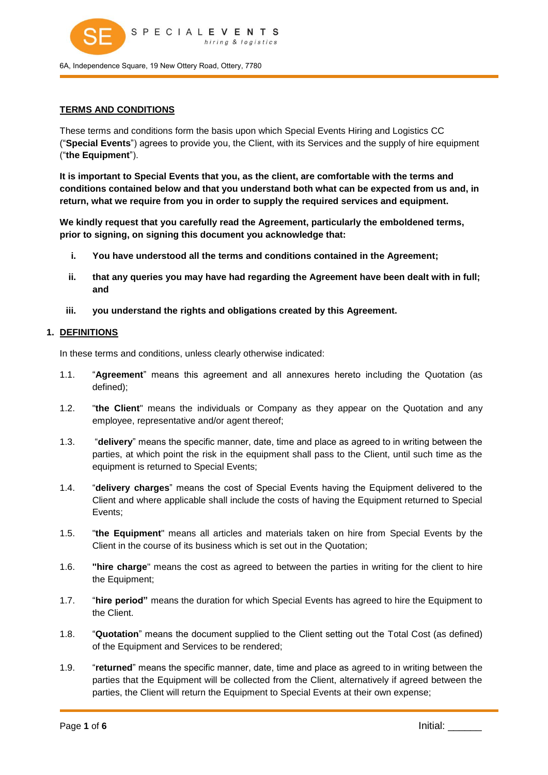

# **TERMS AND CONDITIONS**

These terms and conditions form the basis upon which Special Events Hiring and Logistics CC ("**Special Events**") agrees to provide you, the Client, with its Services and the supply of hire equipment ("**the Equipment**").

**It is important to Special Events that you, as the client, are comfortable with the terms and conditions contained below and that you understand both what can be expected from us and, in return, what we require from you in order to supply the required services and equipment.** 

**We kindly request that you carefully read the Agreement, particularly the emboldened terms, prior to signing, on signing this document you acknowledge that:** 

- **i. You have understood all the terms and conditions contained in the Agreement;**
- **ii. that any queries you may have had regarding the Agreement have been dealt with in full; and**
- **iii. you understand the rights and obligations created by this Agreement.**

### **1. DEFINITIONS**

In these terms and conditions, unless clearly otherwise indicated:

- 1.1. "**Agreement**" means this agreement and all annexures hereto including the Quotation (as defined);
- 1.2. "**the Client**" means the individuals or Company as they appear on the Quotation and any employee, representative and/or agent thereof;
- 1.3. "**delivery**" means the specific manner, date, time and place as agreed to in writing between the parties, at which point the risk in the equipment shall pass to the Client, until such time as the equipment is returned to Special Events;
- 1.4. "**delivery charges**" means the cost of Special Events having the Equipment delivered to the Client and where applicable shall include the costs of having the Equipment returned to Special Events;
- 1.5. "**the Equipment**" means all articles and materials taken on hire from Special Events by the Client in the course of its business which is set out in the Quotation;
- 1.6. **''hire charge**" means the cost as agreed to between the parties in writing for the client to hire the Equipment;
- 1.7. "**hire period"** means the duration for which Special Events has agreed to hire the Equipment to the Client.
- 1.8. "**Quotation**" means the document supplied to the Client setting out the Total Cost (as defined) of the Equipment and Services to be rendered;
- 1.9. "**returned**" means the specific manner, date, time and place as agreed to in writing between the parties that the Equipment will be collected from the Client, alternatively if agreed between the parties, the Client will return the Equipment to Special Events at their own expense;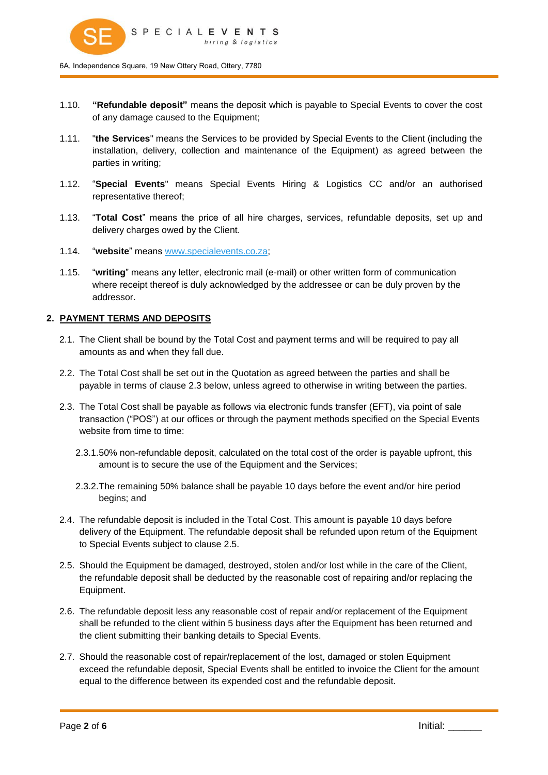

- 1.10. **"Refundable deposit"** means the deposit which is payable to Special Events to cover the cost of any damage caused to the Equipment;
- 1.11. "**the Services**" means the Services to be provided by Special Events to the Client (including the installation, delivery, collection and maintenance of the Equipment) as agreed between the parties in writing;
- 1.12. "**Special Events**" means Special Events Hiring & Logistics CC and/or an authorised representative thereof;
- 1.13. "**Total Cost**" means the price of all hire charges, services, refundable deposits, set up and delivery charges owed by the Client.
- 1.14. "**website**" means [www.specialevents.co.za;](http://www.specialevents.co.za/)
- 1.15. "**writing**" means any letter, electronic mail (e-mail) or other written form of communication where receipt thereof is duly acknowledged by the addressee or can be duly proven by the addressor.

### **2. PAYMENT TERMS AND DEPOSITS**

- 2.1. The Client shall be bound by the Total Cost and payment terms and will be required to pay all amounts as and when they fall due.
- 2.2. The Total Cost shall be set out in the Quotation as agreed between the parties and shall be payable in terms of clause [2.3](#page-1-0) below, unless agreed to otherwise in writing between the parties.
- <span id="page-1-0"></span>2.3. The Total Cost shall be payable as follows via electronic funds transfer (EFT), via point of sale transaction ("POS") at our offices or through the payment methods specified on the Special Events website from time to time:
	- 2.3.1. 50% non-refundable deposit, calculated on the total cost of the order is payable upfront, this amount is to secure the use of the Equipment and the Services;
	- 2.3.2. The remaining 50% balance shall be payable 10 days before the event and/or hire period begins; and
- 2.4. The refundable deposit is included in the Total Cost. This amount is payable 10 days before delivery of the Equipment. The refundable deposit shall be refunded upon return of the Equipment to Special Events subject to clause [2.5.](#page-1-1)
- <span id="page-1-1"></span>2.5. Should the Equipment be damaged, destroyed, stolen and/or lost while in the care of the Client, the refundable deposit shall be deducted by the reasonable cost of repairing and/or replacing the Equipment.
- 2.6. The refundable deposit less any reasonable cost of repair and/or replacement of the Equipment shall be refunded to the client within 5 business days after the Equipment has been returned and the client submitting their banking details to Special Events.
- <span id="page-1-2"></span>2.7. Should the reasonable cost of repair/replacement of the lost, damaged or stolen Equipment exceed the refundable deposit, Special Events shall be entitled to invoice the Client for the amount equal to the difference between its expended cost and the refundable deposit.

Page **2** of **6** Initial: \_\_\_\_\_\_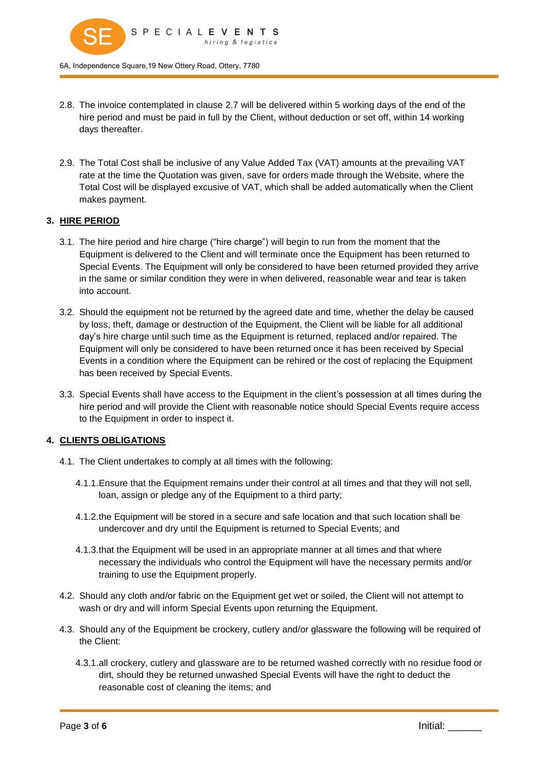

- 2.8. The invoice contemplated in clause [2.7](#page-1-2) will be delivered within 5 working days of the end of the hire period and must be paid in full by the Client, without deduction or set off, within 14 working days thereafter.
- 2.9. The Total Cost shall be inclusive of any Value Added Tax (VAT) amounts at the prevailing VAT rate at the time the Quotation was given, save for orders made through the Website, where the Total Cost will be displayed excusive of VAT, which shall be added automatically when the Client makes payment.

## **3. HIRE PERIOD**

- 3.1. The hire period and hire charge ("hire charge") will begin to run from the moment that the Equipment is delivered to the Client and will terminate once the Equipment has been returned to Special Events. The Equipment will only be considered to have been returned provided they arrive in the same or similar condition they were in when delivered, reasonable wear and tear is taken into account.
- 3.2. Should the equipment not be returned by the agreed date and time, whether the delay be caused by loss, theft, damage or destruction of the Equipment, the Client will be liable for all additional day's hire charge until such time as the Equipment is returned, replaced and/or repaired. The Equipment will only be considered to have been returned once it has been received by Special Events in a condition where the Equipment can be rehired or the cost of replacing the Equipment has been received by Special Events.
- 3.3. Special Events shall have access to the Equipment in the client's possession at all times during the hire period and will provide the Client with reasonable notice should Special Events require access to the Equipment in order to inspect it.

## **4. CLIENTS OBLIGATIONS**

- 4.1. The Client undertakes to comply at all times with the following:
	- 4.1.1. Ensure that the Equipment remains under their control at all times and that they will not sell, loan, assign or pledge any of the Equipment to a third party;
	- 4.1.2. the Equipment will be stored in a secure and safe location and that such location shall be undercover and dry until the Equipment is returned to Special Events; and
	- 4.1.3. that the Equipment will be used in an appropriate manner at all times and that where necessary the individuals who control the Equipment will have the necessary permits and/or training to use the Equipment properly.
- 4.2. Should any cloth and/or fabric on the Equipment get wet or soiled, the Client will not attempt to wash or dry and will inform Special Events upon returning the Equipment.
- 4.3. Should any of the Equipment be crockery, cutlery and/or glassware the following will be required of the Client:
	- 4.3.1. all crockery, cutlery and glassware are to be returned washed correctly with no residue food or dirt, should they be returned unwashed Special Events will have the right to deduct the reasonable cost of cleaning the items; and

Page **3** of **6** Initial: \_\_\_\_\_\_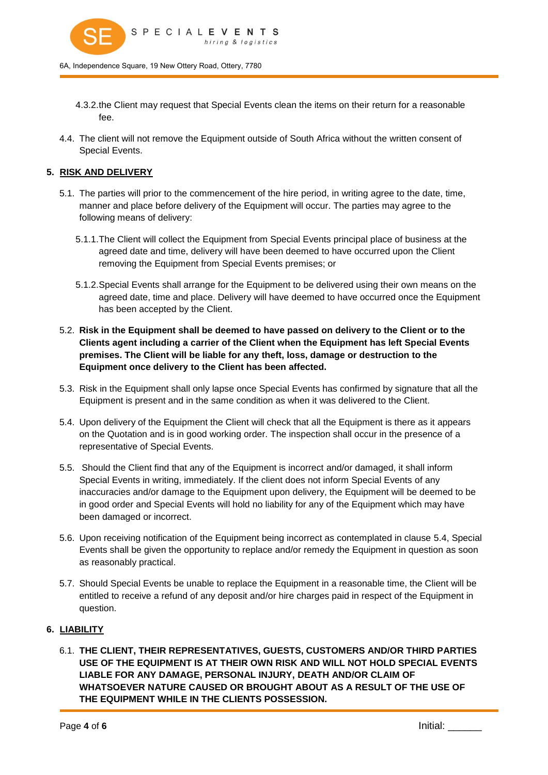

- 4.3.2. the Client may request that Special Events clean the items on their return for a reasonable fee.
- 4.4. The client will not remove the Equipment outside of South Africa without the written consent of Special Events.

# **5. RISK AND DELIVERY**

- 5.1. The parties will prior to the commencement of the hire period, in writing agree to the date, time, manner and place before delivery of the Equipment will occur. The parties may agree to the following means of delivery:
	- 5.1.1. The Client will collect the Equipment from Special Events principal place of business at the agreed date and time, delivery will have been deemed to have occurred upon the Client removing the Equipment from Special Events premises; or
	- 5.1.2. Special Events shall arrange for the Equipment to be delivered using their own means on the agreed date, time and place. Delivery will have deemed to have occurred once the Equipment has been accepted by the Client.
- 5.2. **Risk in the Equipment shall be deemed to have passed on delivery to the Client or to the Clients agent including a carrier of the Client when the Equipment has left Special Events premises. The Client will be liable for any theft, loss, damage or destruction to the Equipment once delivery to the Client has been affected.**
- 5.3. Risk in the Equipment shall only lapse once Special Events has confirmed by signature that all the Equipment is present and in the same condition as when it was delivered to the Client.
- <span id="page-3-0"></span>5.4. Upon delivery of the Equipment the Client will check that all the Equipment is there as it appears on the Quotation and is in good working order. The inspection shall occur in the presence of a representative of Special Events.
- 5.5. Should the Client find that any of the Equipment is incorrect and/or damaged, it shall inform Special Events in writing, immediately. If the client does not inform Special Events of any inaccuracies and/or damage to the Equipment upon delivery, the Equipment will be deemed to be in good order and Special Events will hold no liability for any of the Equipment which may have been damaged or incorrect.
- 5.6. Upon receiving notification of the Equipment being incorrect as contemplated in clause [5.4,](#page-3-0) Special Events shall be given the opportunity to replace and/or remedy the Equipment in question as soon as reasonably practical.
- 5.7. Should Special Events be unable to replace the Equipment in a reasonable time, the Client will be entitled to receive a refund of any deposit and/or hire charges paid in respect of the Equipment in question.

## **6. LIABILITY**

6.1. **THE CLIENT, THEIR REPRESENTATIVES, GUESTS, CUSTOMERS AND/OR THIRD PARTIES USE OF THE EQUIPMENT IS AT THEIR OWN RISK AND WILL NOT HOLD SPECIAL EVENTS LIABLE FOR ANY DAMAGE, PERSONAL INJURY, DEATH AND/OR CLAIM OF WHATSOEVER NATURE CAUSED OR BROUGHT ABOUT AS A RESULT OF THE USE OF THE EQUIPMENT WHILE IN THE CLIENTS POSSESSION.** 

Page **4** of **6** Initial: \_\_\_\_\_\_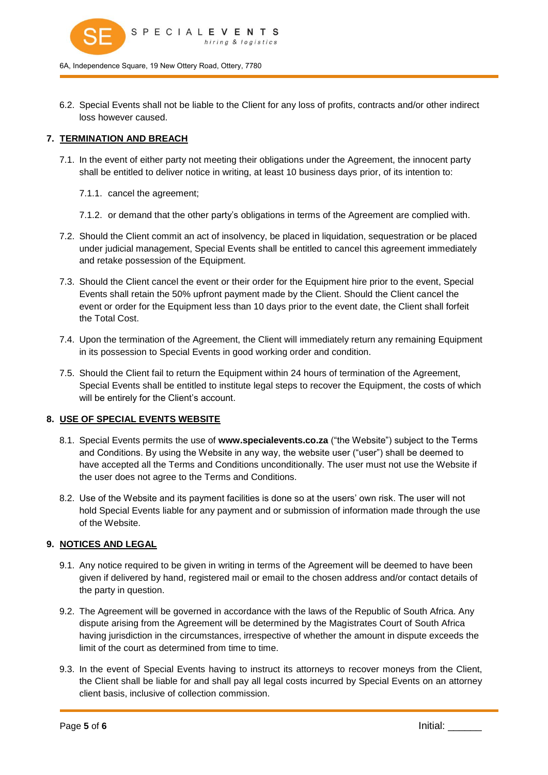

6.2. Special Events shall not be liable to the Client for any loss of profits, contracts and/or other indirect loss however caused.

## **7. TERMINATION AND BREACH**

- 7.1. In the event of either party not meeting their obligations under the Agreement, the innocent party shall be entitled to deliver notice in writing, at least 10 business days prior, of its intention to:
	- 7.1.1. cancel the agreement;
	- 7.1.2. or demand that the other party's obligations in terms of the Agreement are complied with.
- 7.2. Should the Client commit an act of insolvency, be placed in liquidation, sequestration or be placed under judicial management, Special Events shall be entitled to cancel this agreement immediately and retake possession of the Equipment.
- 7.3. Should the Client cancel the event or their order for the Equipment hire prior to the event, Special Events shall retain the 50% upfront payment made by the Client. Should the Client cancel the event or order for the Equipment less than 10 days prior to the event date, the Client shall forfeit the Total Cost.
- 7.4. Upon the termination of the Agreement, the Client will immediately return any remaining Equipment in its possession to Special Events in good working order and condition.
- 7.5. Should the Client fail to return the Equipment within 24 hours of termination of the Agreement, Special Events shall be entitled to institute legal steps to recover the Equipment, the costs of which will be entirely for the Client's account.

#### **8. USE OF SPECIAL EVENTS WEBSITE**

- 8.1. Special Events permits the use of **www.specialevents.co.za** ("the Website") subject to the Terms and Conditions. By using the Website in any way, the website user ("user") shall be deemed to have accepted all the Terms and Conditions unconditionally. The user must not use the Website if the user does not agree to the Terms and Conditions.
- 8.2. Use of the Website and its payment facilities is done so at the users' own risk. The user will not hold Special Events liable for any payment and or submission of information made through the use of the Website.

#### **9. NOTICES AND LEGAL**

- 9.1. Any notice required to be given in writing in terms of the Agreement will be deemed to have been given if delivered by hand, registered mail or email to the chosen address and/or contact details of the party in question.
- 9.2. The Agreement will be governed in accordance with the laws of the Republic of South Africa. Any dispute arising from the Agreement will be determined by the Magistrates Court of South Africa having jurisdiction in the circumstances, irrespective of whether the amount in dispute exceeds the limit of the court as determined from time to time.
- 9.3. In the event of Special Events having to instruct its attorneys to recover moneys from the Client, the Client shall be liable for and shall pay all legal costs incurred by Special Events on an attorney client basis, inclusive of collection commission.

Page **5** of **6** Initial: \_\_\_\_\_\_